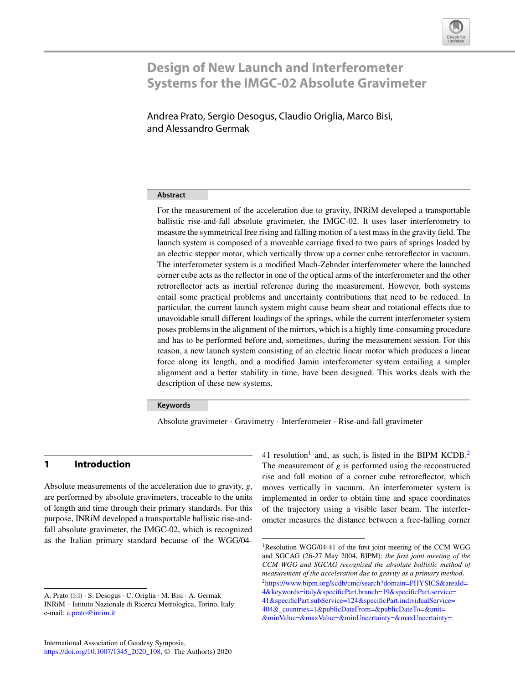

# **Design of New Launch and Interferometer Systems for the IMGC-02 Absolute Gravimeter**

Andrea Prato, Sergio Desogus, Claudio Origlia, Marco Bisi, and Alessandro Germak

## **Abstract**

For the measurement of the acceleration due to gravity, INRiM developed a transportable ballistic rise-and-fall absolute gravimeter, the IMGC-02. It uses laser interferometry to measure the symmetrical free rising and falling motion of a test mass in the gravity field. The launch system is composed of a moveable carriage fixed to two pairs of springs loaded by an electric stepper motor, which vertically throw up a corner cube retroreflector in vacuum. The interferometer system is a modified Mach-Zehnder interferometer where the launched corner cube acts as the reflector in one of the optical arms of the interferometer and the other retroreflector acts as inertial reference during the measurement. However, both systems entail some practical problems and uncertainty contributions that need to be reduced. In particular, the current launch system might cause beam shear and rotational effects due to unavoidable small different loadings of the springs, while the current interferometer system poses problems in the alignment of the mirrors, which is a highly time-consuming procedure and has to be performed before and, sometimes, during the measurement session. For this reason, a new launch system consisting of an electric linear motor which produces a linear force along its length, and a modified Jamin interferometer system entailing a simpler alignment and a better stability in time, have been designed. This works deals with the description of these new systems.

#### **Keywords**

Absolute gravimeter · Gravimetry · Interferometer · Rise-and-fall gravimeter

# **1 Introduction**

Absolute measurements of the acceleration due to gravity, *g*, are performed by absolute gravimeters, traceable to the units of length and time through their primary standards. For this purpose, INRiM developed a transportable ballistic rise-andfall absolute gravimeter, the IMGC-02, which is recognized as the Italian primary standard because of the WGG/04-

41 resolution<sup>1</sup> and, as such, is listed in the BIPM KCDB.<sup>[2](#page-0-1)</sup> The measurement of *g* is performed using the reconstructed rise and fall motion of a corner cube retroreflector, which moves vertically in vacuum. An interferometer system is implemented in order to obtain time and space coordinates of the trajectory using a visible laser beam. The interferometer measures the distance between a free-falling corner

A. Prato ( $\boxtimes$ ) · S. Desogus · C. Origlia · M. Bisi · A. Germak INRiM – Istituto Nazionale di Ricerca Metrologica, Torino, Italy e-mail: [a.prato@inrim.it](mailto:a.prato@inrim.it)

<span id="page-0-1"></span><span id="page-0-0"></span><sup>&</sup>lt;sup>1</sup>Resolution WGG/04-41 of the first joint meeting of the CCM WGG and SGCAG (26-27 May 2004, BIPM): *the first joint meeting of the CCM WGG and SGCAG recognized the absolute ballistic method of measurement of the acceleration due to gravity as a primary method*. [2https://www.bipm.org/kcdb/cmc/search?domain=PHYSICS&areaId=](https://www.bipm.org/kcdb/cmc/search?domain=PHYSICS&areaId=4&keywords=italy&specificPart.branch=19&specificPart.service=41&specificPart.subService=124&specificPart.individualService=404&_countries=1&publicDateFrom=&publicDateTo=&unit=&minValue=&maxValue=&minUncertainty=&maxUncertainty=) [4&keywords=italy&specificPart.branch=19&specificPart.service=](https://www.bipm.org/kcdb/cmc/search?domain=PHYSICS&areaId=4&keywords=italy&specificPart.branch=19&specificPart.service=41&specificPart.subService=124&specificPart.individualService=404&_countries=1&publicDateFrom=&publicDateTo=&unit=&minValue=&maxValue=&minUncertainty=&maxUncertainty=) [41&specificPart.subService=124&specificPart.individualService=](https://www.bipm.org/kcdb/cmc/search?domain=PHYSICS&areaId=4&keywords=italy&specificPart.branch=19&specificPart.service=41&specificPart.subService=124&specificPart.individualService=404&_countries=1&publicDateFrom=&publicDateTo=&unit=&minValue=&maxValue=&minUncertainty=&maxUncertainty=) [404&\\_countries=1&publicDateFrom=&publicDateTo=&unit=](https://www.bipm.org/kcdb/cmc/search?domain=PHYSICS&areaId=4&keywords=italy&specificPart.branch=19&specificPart.service=41&specificPart.subService=124&specificPart.individualService=404&_countries=1&publicDateFrom=&publicDateTo=&unit=&minValue=&maxValue=&minUncertainty=&maxUncertainty=) [&minValue=&maxValue=&minUncertainty=&maxUncertainty=.](https://www.bipm.org/kcdb/cmc/search?domain=PHYSICS&areaId=4&keywords=italy&specificPart.branch=19&specificPart.service=41&specificPart.subService=124&specificPart.individualService=404&_countries=1&publicDateFrom=&publicDateTo=&unit=&minValue=&maxValue=&minUncertainty=&maxUncertainty=)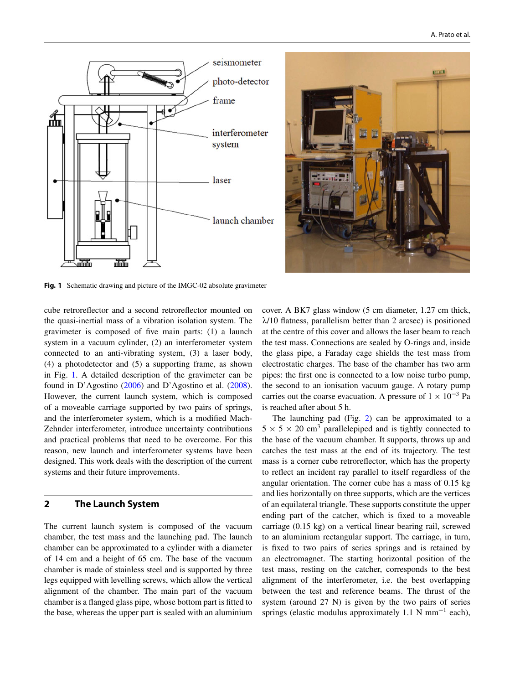



**Fig. 1** Schematic drawing and picture of the IMGC-02 absolute gravimeter

<span id="page-1-0"></span>cube retroreflector and a second retroreflector mounted on the quasi-inertial mass of a vibration isolation system. The gravimeter is composed of five main parts: (1) a launch system in a vacuum cylinder, (2) an interferometer system connected to an anti-vibrating system, (3) a laser body, (4) a photodetector and (5) a supporting frame, as shown in Fig. [1.](#page-1-0) A detailed description of the gravimeter can be found in D'Agostino [\(2006\)](#page-6-0) and D'Agostino et al. [\(2008\)](#page-6-1). However, the current launch system, which is composed of a moveable carriage supported by two pairs of springs, and the interferometer system, which is a modified Mach-Zehnder interferometer, introduce uncertainty contributions and practical problems that need to be overcome. For this reason, new launch and interferometer systems have been designed. This work deals with the description of the current systems and their future improvements.

#### **2 The Launch System**

The current launch system is composed of the vacuum chamber, the test mass and the launching pad. The launch chamber can be approximated to a cylinder with a diameter of 14 cm and a height of 65 cm. The base of the vacuum chamber is made of stainless steel and is supported by three legs equipped with levelling screws, which allow the vertical alignment of the chamber. The main part of the vacuum chamber is a flanged glass pipe, whose bottom part is fitted to the base, whereas the upper part is sealed with an aluminium cover. A BK7 glass window (5 cm diameter, 1.27 cm thick,  $\lambda$ /10 flatness, parallelism better than 2 arcsec) is positioned at the centre of this cover and allows the laser beam to reach the test mass. Connections are sealed by O-rings and, inside the glass pipe, a Faraday cage shields the test mass from electrostatic charges. The base of the chamber has two arm pipes: the first one is connected to a low noise turbo pump, the second to an ionisation vacuum gauge. A rotary pump carries out the coarse evacuation. A pressure of  $1 \times 10^{-3}$  Pa is reached after about 5 h.

The launching pad (Fig. [2\)](#page-2-0) can be approximated to a  $5 \times 5 \times 20$  cm<sup>3</sup> parallelepiped and is tightly connected to the base of the vacuum chamber. It supports, throws up and catches the test mass at the end of its trajectory. The test mass is a corner cube retroreflector, which has the property to reflect an incident ray parallel to itself regardless of the angular orientation. The corner cube has a mass of 0.15 kg and lies horizontally on three supports, which are the vertices of an equilateral triangle. These supports constitute the upper ending part of the catcher, which is fixed to a moveable carriage (0.15 kg) on a vertical linear bearing rail, screwed to an aluminium rectangular support. The carriage, in turn, is fixed to two pairs of series springs and is retained by an electromagnet. The starting horizontal position of the test mass, resting on the catcher, corresponds to the best alignment of the interferometer, i.e. the best overlapping between the test and reference beams. The thrust of the system (around 27 N) is given by the two pairs of series springs (elastic modulus approximately 1.1 N mm<sup>-1</sup> each),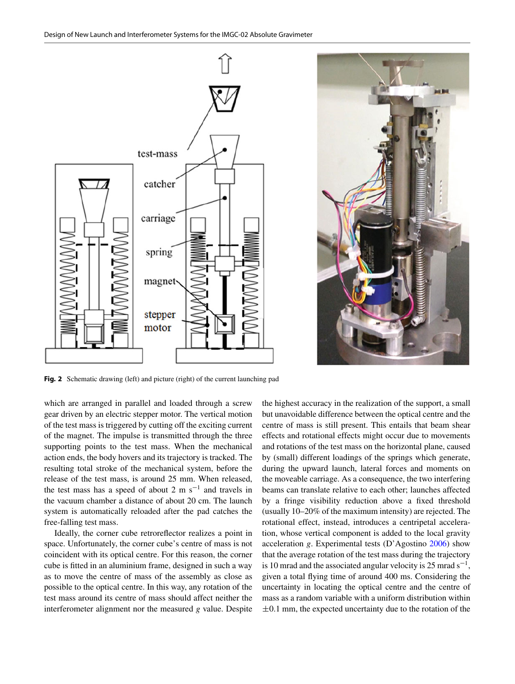



**Fig. 2** Schematic drawing (left) and picture (right) of the current launching pad

<span id="page-2-0"></span>which are arranged in parallel and loaded through a screw gear driven by an electric stepper motor. The vertical motion of the test mass is triggered by cutting off the exciting current of the magnet. The impulse is transmitted through the three supporting points to the test mass. When the mechanical action ends, the body hovers and its trajectory is tracked. The resulting total stroke of the mechanical system, before the release of the test mass, is around 25 mm. When released, the test mass has a speed of about 2 m  $s^{-1}$  and travels in the vacuum chamber a distance of about 20 cm. The launch system is automatically reloaded after the pad catches the free-falling test mass.

Ideally, the corner cube retroreflector realizes a point in space. Unfortunately, the corner cube's centre of mass is not coincident with its optical centre. For this reason, the corner cube is fitted in an aluminium frame, designed in such a way as to move the centre of mass of the assembly as close as possible to the optical centre. In this way, any rotation of the test mass around its centre of mass should affect neither the interferometer alignment nor the measured *g* value. Despite

the highest accuracy in the realization of the support, a small but unavoidable difference between the optical centre and the centre of mass is still present. This entails that beam shear effects and rotational effects might occur due to movements and rotations of the test mass on the horizontal plane, caused by (small) different loadings of the springs which generate, during the upward launch, lateral forces and moments on the moveable carriage. As a consequence, the two interfering beams can translate relative to each other; launches affected by a fringe visibility reduction above a fixed threshold (usually 10–20% of the maximum intensity) are rejected. The rotational effect, instead, introduces a centripetal acceleration, whose vertical component is added to the local gravity acceleration *g*. Experimental tests (D'Agostino [2006\)](#page-6-0) show that the average rotation of the test mass during the trajectory is 10 mrad and the associated angular velocity is 25 mrad  $s^{-1}$ , given a total flying time of around 400 ms. Considering the uncertainty in locating the optical centre and the centre of mass as a random variable with a uniform distribution within  $\pm 0.1$  mm, the expected uncertainty due to the rotation of the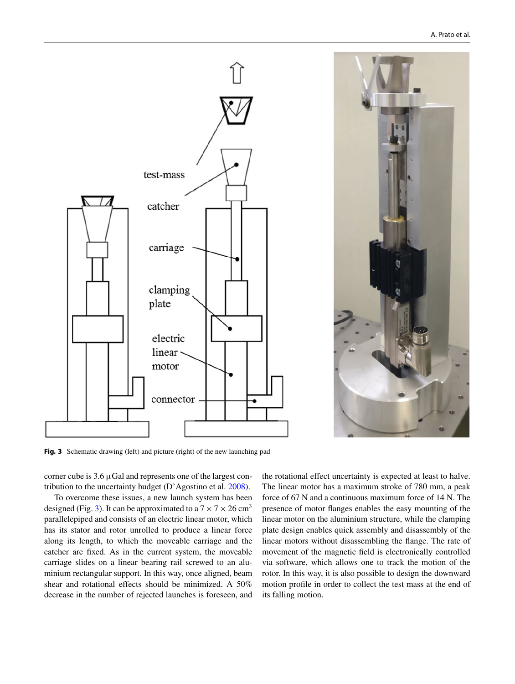



<span id="page-3-0"></span>**Fig. 3** Schematic drawing (left) and picture (right) of the new launching pad

corner cube is  $3.6 \mu$ Gal and represents one of the largest contribution to the uncertainty budget (D'Agostino et al. [2008\)](#page-6-1).

To overcome these issues, a new launch system has been designed (Fig. [3\)](#page-3-0). It can be approximated to a  $7 \times 7 \times 26$  cm<sup>3</sup> parallelepiped and consists of an electric linear motor, which has its stator and rotor unrolled to produce a linear force along its length, to which the moveable carriage and the catcher are fixed. As in the current system, the moveable carriage slides on a linear bearing rail screwed to an aluminium rectangular support. In this way, once aligned, beam shear and rotational effects should be minimized. A 50% decrease in the number of rejected launches is foreseen, and the rotational effect uncertainty is expected at least to halve. The linear motor has a maximum stroke of 780 mm, a peak force of 67 N and a continuous maximum force of 14 N. The presence of motor flanges enables the easy mounting of the linear motor on the aluminium structure, while the clamping plate design enables quick assembly and disassembly of the linear motors without disassembling the flange. The rate of movement of the magnetic field is electronically controlled via software, which allows one to track the motion of the rotor. In this way, it is also possible to design the downward motion profile in order to collect the test mass at the end of its falling motion.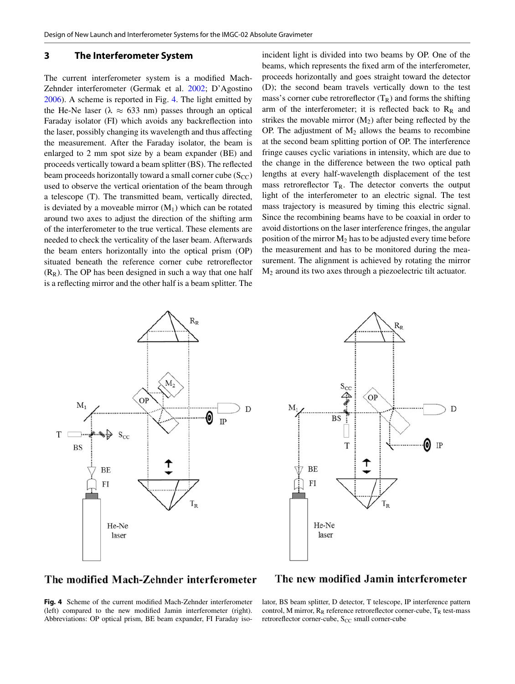## **3 The Interferometer System**

The current interferometer system is a modified Mach-Zehnder interferometer (Germak et al. [2002;](#page-6-2) D'Agostino [2006\)](#page-6-0). A scheme is reported in Fig. [4.](#page-4-0) The light emitted by the He-Ne laser ( $\lambda \approx 633$  nm) passes through an optical Faraday isolator (FI) which avoids any backreflection into the laser, possibly changing its wavelength and thus affecting the measurement. After the Faraday isolator, the beam is enlarged to 2 mm spot size by a beam expander (BE) and proceeds vertically toward a beam splitter (BS). The reflected beam proceeds horizontally toward a small corner cube  $(S_{CC})$ used to observe the vertical orientation of the beam through a telescope (T). The transmitted beam, vertically directed, is deviated by a moveable mirror  $(M_1)$  which can be rotated around two axes to adjust the direction of the shifting arm of the interferometer to the true vertical. These elements are needed to check the verticality of the laser beam. Afterwards the beam enters horizontally into the optical prism (OP) situated beneath the reference corner cube retroreflector  $(R<sub>R</sub>)$ . The OP has been designed in such a way that one half is a reflecting mirror and the other half is a beam splitter. The

incident light is divided into two beams by OP. One of the beams, which represents the fixed arm of the interferometer, proceeds horizontally and goes straight toward the detector (D); the second beam travels vertically down to the test mass's corner cube retroreflector  $(T_R)$  and forms the shifting arm of the interferometer; it is reflected back to  $R_R$  and strikes the movable mirror  $(M_2)$  after being reflected by the OP. The adjustment of  $M_2$  allows the beams to recombine at the second beam splitting portion of OP. The interference fringe causes cyclic variations in intensity, which are due to the change in the difference between the two optical path lengths at every half-wavelength displacement of the test mass retroreflector  $T_R$ . The detector converts the output light of the interferometer to an electric signal. The test mass trajectory is measured by timing this electric signal. Since the recombining beams have to be coaxial in order to avoid distortions on the laser interference fringes, the angular position of the mirror  $M_2$  has to be adjusted every time before the measurement and has to be monitored during the measurement. The alignment is achieved by rotating the mirror M2 around its two axes through a piezoelectric tilt actuator.





# The modified Mach-Zehnder interferometer

<span id="page-4-0"></span>**Fig. 4** Scheme of the current modified Mach-Zehnder interferometer (left) compared to the new modified Jamin interferometer (right). Abbreviations: OP optical prism, BE beam expander, FI Faraday iso-

## The new modified Jamin interferometer

lator, BS beam splitter, D detector, T telescope, IP interference pattern control, M mirror,  $R_R$  reference retroreflector corner-cube,  $T_R$  test-mass retroreflector corner-cube,  $S_{CC}$  small corner-cube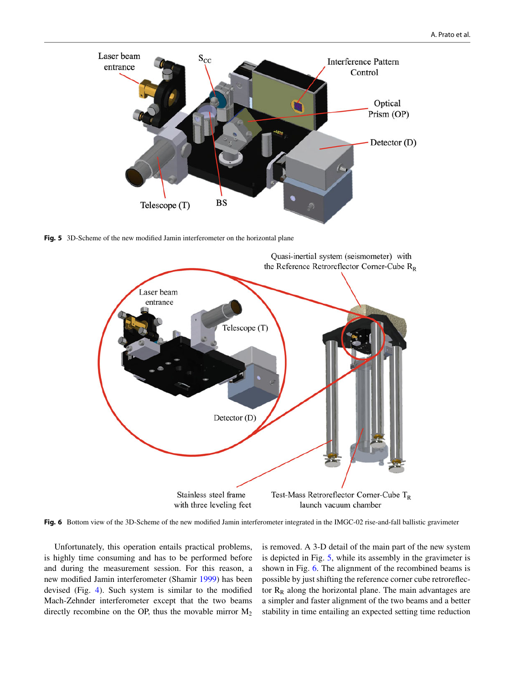

<span id="page-5-0"></span>**Fig. 5** 3D-Scheme of the new modified Jamin interferometer on the horizontal plane



<span id="page-5-1"></span>Fig. 6 Bottom view of the 3D-Scheme of the new modified Jamin interferometer integrated in the IMGC-02 rise-and-fall ballistic gravimeter

Unfortunately, this operation entails practical problems, is highly time consuming and has to be performed before and during the measurement session. For this reason, a new modified Jamin interferometer (Shamir [1999\)](#page-6-3) has been devised (Fig. [4\)](#page-4-0). Such system is similar to the modified Mach-Zehnder interferometer except that the two beams directly recombine on the OP, thus the movable mirror  $M_2$  is removed. A 3-D detail of the main part of the new system is depicted in Fig. [5,](#page-5-0) while its assembly in the gravimeter is shown in Fig. [6.](#page-5-1) The alignment of the recombined beams is possible by just shifting the reference corner cube retroreflector  $R_R$  along the horizontal plane. The main advantages are a simpler and faster alignment of the two beams and a better stability in time entailing an expected setting time reduction